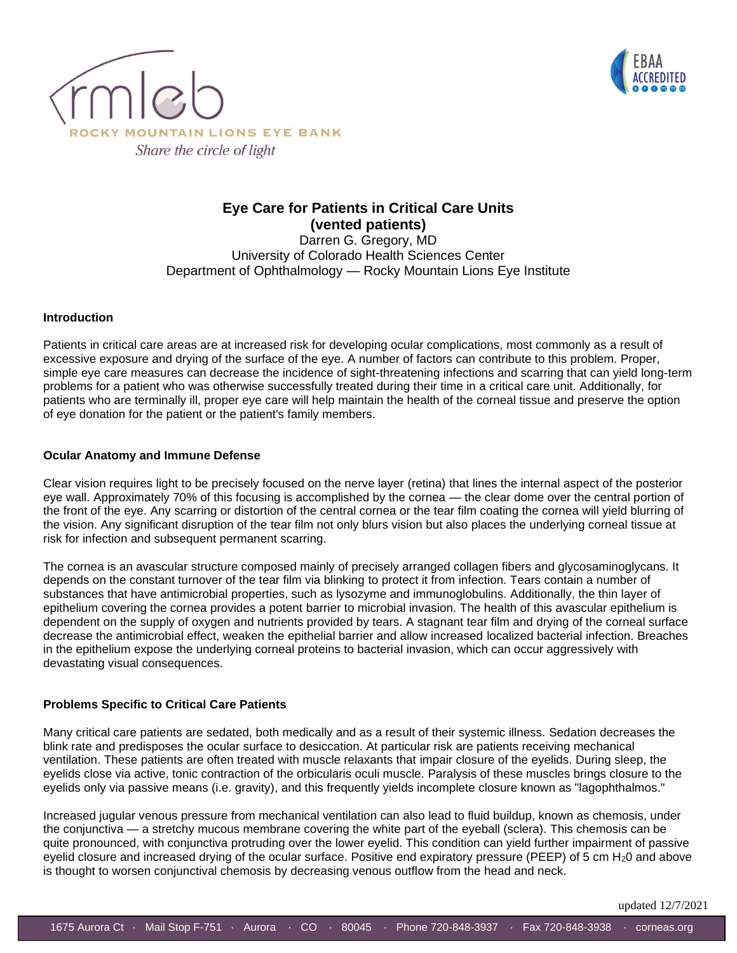



### **Eye Care for Patients in Critical Care Units (vented patients)**

Darren G. Gregory, MD University of Colorado Health Sciences Center Department of Ophthalmology — Rocky Mountain Lions Eye Institute

#### **Introduction**

Patients in critical care areas are at increased risk for developing ocular complications, most commonly as a result of excessive exposure and drying of the surface of the eye. A number of factors can contribute to this problem. Proper, simple eye care measures can decrease the incidence of sight-threatening infections and scarring that can yield long-term problems for a patient who was otherwise successfully treated during their time in a critical care unit. Additionally, for patients who are terminally ill, proper eye care will help maintain the health of the corneal tissue and preserve the option of eye donation for the patient or the patient's family members.

#### **Ocular Anatomy and Immune Defense**

Clear vision requires light to be precisely focused on the nerve layer (retina) that lines the internal aspect of the posterior eye wall. Approximately 70% of this focusing is accomplished by the cornea — the clear dome over the central portion of the front of the eye. Any scarring or distortion of the central cornea or the tear film coating the cornea will yield blurring of the vision. Any significant disruption of the tear film not only blurs vision but also places the underlying corneal tissue at risk for infection and subsequent permanent scarring.

The cornea is an avascular structure composed mainly of precisely arranged collagen fibers and glycosaminoglycans. It depends on the constant turnover of the tear film via blinking to protect it from infection. Tears contain a number of substances that have antimicrobial properties, such as lysozyme and immunoglobulins. Additionally, the thin layer of epithelium covering the cornea provides a potent barrier to microbial invasion. The health of this avascular epithelium is dependent on the supply of oxygen and nutrients provided by tears. A stagnant tear film and drying of the corneal surface decrease the antimicrobial effect, weaken the epithelial barrier and allow increased localized bacterial infection. Breaches in the epithelium expose the underlying corneal proteins to bacterial invasion, which can occur aggressively with devastating visual consequences.

#### **Problems Specific to Critical Care Patients**

Many critical care patients are sedated, both medically and as a result of their systemic illness. Sedation decreases the blink rate and predisposes the ocular surface to desiccation. At particular risk are patients receiving mechanical ventilation. These patients are often treated with muscle relaxants that impair closure of the eyelids. During sleep, the eyelids close via active, tonic contraction of the orbicularis oculi muscle. Paralysis of these muscles brings closure to the eyelids only via passive means (i.e. gravity), and this frequently yields incomplete closure known as "lagophthalmos."

Increased jugular venous pressure from mechanical ventilation can also lead to fluid buildup, known as chemosis, under the conjunctiva — a stretchy mucous membrane covering the white part of the eyeball (sclera). This chemosis can be quite pronounced, with conjunctiva protruding over the lower eyelid. This condition can yield further impairment of passive eyelid closure and increased drying of the ocular surface. Positive end expiratory pressure (PEEP) of 5 cm H<sub>2</sub>0 and above is thought to worsen conjunctival chemosis by decreasing venous outflow from the head and neck.

updated 12/7/2021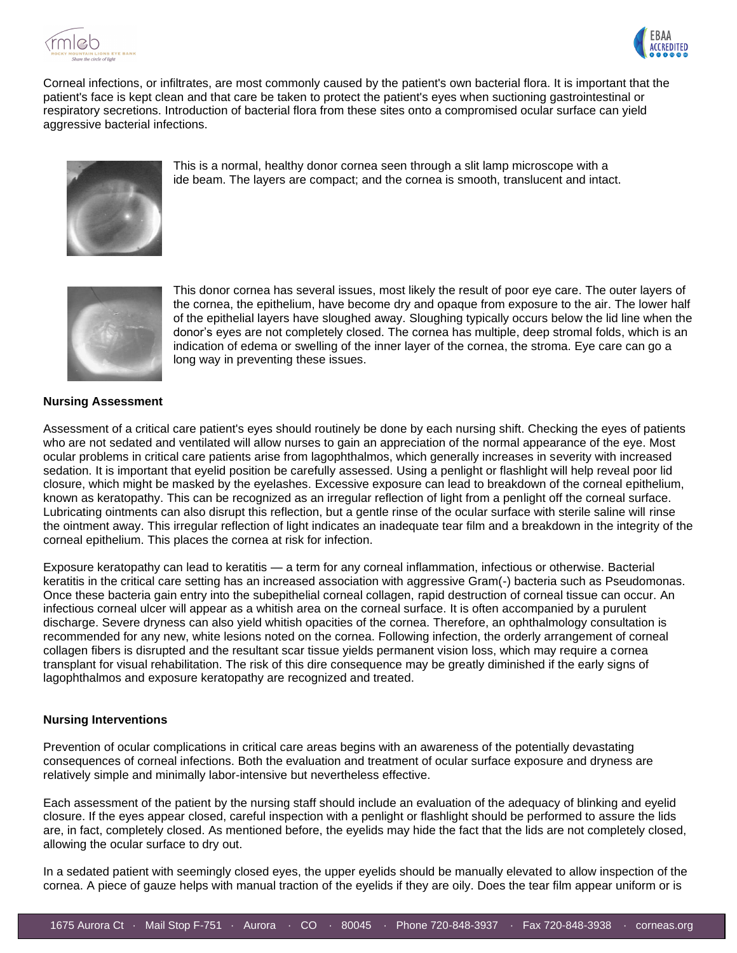



Corneal infections, or infiltrates, are most commonly caused by the patient's own bacterial flora. It is important that the patient's face is kept clean and that care be taken to protect the patient's eyes when suctioning gastrointestinal or respiratory secretions. Introduction of bacterial flora from these sites onto a compromised ocular surface can yield aggressive bacterial infections.



This is a normal, healthy donor cornea seen through a slit lamp microscope with a ide beam. The layers are compact; and the cornea is smooth, translucent and intact.



This donor cornea has several issues, most likely the result of poor eye care. The outer layers of the cornea, the epithelium, have become dry and opaque from exposure to the air. The lower half of the epithelial layers have sloughed away. Sloughing typically occurs below the lid line when the donor's eyes are not completely closed. The cornea has multiple, deep stromal folds, which is an indication of edema or swelling of the inner layer of the cornea, the stroma. Eye care can go a long way in preventing these issues.

#### **Nursing Assessment**

Assessment of a critical care patient's eyes should routinely be done by each nursing shift. Checking the eyes of patients who are not sedated and ventilated will allow nurses to gain an appreciation of the normal appearance of the eye. Most ocular problems in critical care patients arise from lagophthalmos, which generally increases in severity with increased sedation. It is important that eyelid position be carefully assessed. Using a penlight or flashlight will help reveal poor lid closure, which might be masked by the eyelashes. Excessive exposure can lead to breakdown of the corneal epithelium, known as keratopathy. This can be recognized as an irregular reflection of light from a penlight off the corneal surface. Lubricating ointments can also disrupt this reflection, but a gentle rinse of the ocular surface with sterile saline will rinse the ointment away. This irregular reflection of light indicates an inadequate tear film and a breakdown in the integrity of the corneal epithelium. This places the cornea at risk for infection.

Exposure keratopathy can lead to keratitis — a term for any corneal inflammation, infectious or otherwise. Bacterial keratitis in the critical care setting has an increased association with aggressive Gram(-) bacteria such as Pseudomonas. Once these bacteria gain entry into the subepithelial corneal collagen, rapid destruction of corneal tissue can occur. An infectious corneal ulcer will appear as a whitish area on the corneal surface. It is often accompanied by a purulent discharge. Severe dryness can also yield whitish opacities of the cornea. Therefore, an ophthalmology consultation is recommended for any new, white lesions noted on the cornea. Following infection, the orderly arrangement of corneal collagen fibers is disrupted and the resultant scar tissue yields permanent vision loss, which may require a cornea transplant for visual rehabilitation. The risk of this dire consequence may be greatly diminished if the early signs of lagophthalmos and exposure keratopathy are recognized and treated.

#### **Nursing Interventions**

Prevention of ocular complications in critical care areas begins with an awareness of the potentially devastating consequences of corneal infections. Both the evaluation and treatment of ocular surface exposure and dryness are relatively simple and minimally labor-intensive but nevertheless effective.

Each assessment of the patient by the nursing staff should include an evaluation of the adequacy of blinking and eyelid closure. If the eyes appear closed, careful inspection with a penlight or flashlight should be performed to assure the lids are, in fact, completely closed. As mentioned before, the eyelids may hide the fact that the lids are not completely closed, allowing the ocular surface to dry out.

In a sedated patient with seemingly closed eyes, the upper eyelids should be manually elevated to allow inspection of the cornea. A piece of gauze helps with manual traction of the eyelids if they are oily. Does the tear film appear uniform or is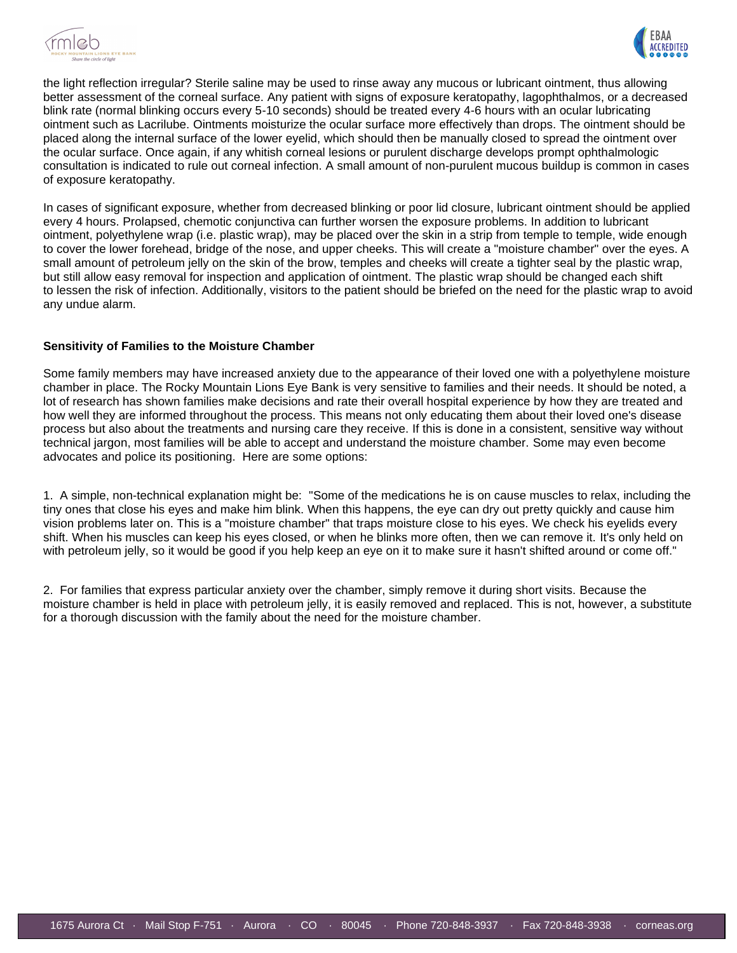



the light reflection irregular? Sterile saline may be used to rinse away any mucous or lubricant ointment, thus allowing better assessment of the corneal surface. Any patient with signs of exposure keratopathy, lagophthalmos, or a decreased blink rate (normal blinking occurs every 5-10 seconds) should be treated every 4-6 hours with an ocular lubricating ointment such as Lacrilube. Ointments moisturize the ocular surface more effectively than drops. The ointment should be placed along the internal surface of the lower eyelid, which should then be manually closed to spread the ointment over the ocular surface. Once again, if any whitish corneal lesions or purulent discharge develops prompt ophthalmologic consultation is indicated to rule out corneal infection. A small amount of non-purulent mucous buildup is common in cases of exposure keratopathy.

In cases of significant exposure, whether from decreased blinking or poor lid closure, lubricant ointment should be applied every 4 hours. Prolapsed, chemotic conjunctiva can further worsen the exposure problems. In addition to lubricant ointment, polyethylene wrap (i.e. plastic wrap), may be placed over the skin in a strip from temple to temple, wide enough to cover the lower forehead, bridge of the nose, and upper cheeks. This will create a "moisture chamber" over the eyes. A small amount of petroleum jelly on the skin of the brow, temples and cheeks will create a tighter seal by the plastic wrap, but still allow easy removal for inspection and application of ointment. The plastic wrap should be changed each shift to lessen the risk of infection. Additionally, visitors to the patient should be briefed on the need for the plastic wrap to avoid any undue alarm.

#### **Sensitivity of Families to the Moisture Chamber**

Some family members may have increased anxiety due to the appearance of their loved one with a polyethylene moisture chamber in place. The Rocky Mountain Lions Eye Bank is very sensitive to families and their needs. It should be noted, a lot of research has shown families make decisions and rate their overall hospital experience by how they are treated and how well they are informed throughout the process. This means not only educating them about their loved one's disease process but also about the treatments and nursing care they receive. If this is done in a consistent, sensitive way without technical jargon, most families will be able to accept and understand the moisture chamber. Some may even become advocates and police its positioning. Here are some options:

1. A simple, non-technical explanation might be: "Some of the medications he is on cause muscles to relax, including the tiny ones that close his eyes and make him blink. When this happens, the eye can dry out pretty quickly and cause him vision problems later on. This is a "moisture chamber" that traps moisture close to his eyes. We check his eyelids every shift. When his muscles can keep his eyes closed, or when he blinks more often, then we can remove it. It's only held on with petroleum jelly, so it would be good if you help keep an eye on it to make sure it hasn't shifted around or come off."

2. For families that express particular anxiety over the chamber, simply remove it during short visits. Because the moisture chamber is held in place with petroleum jelly, it is easily removed and replaced. This is not, however, a substitute for a thorough discussion with the family about the need for the moisture chamber.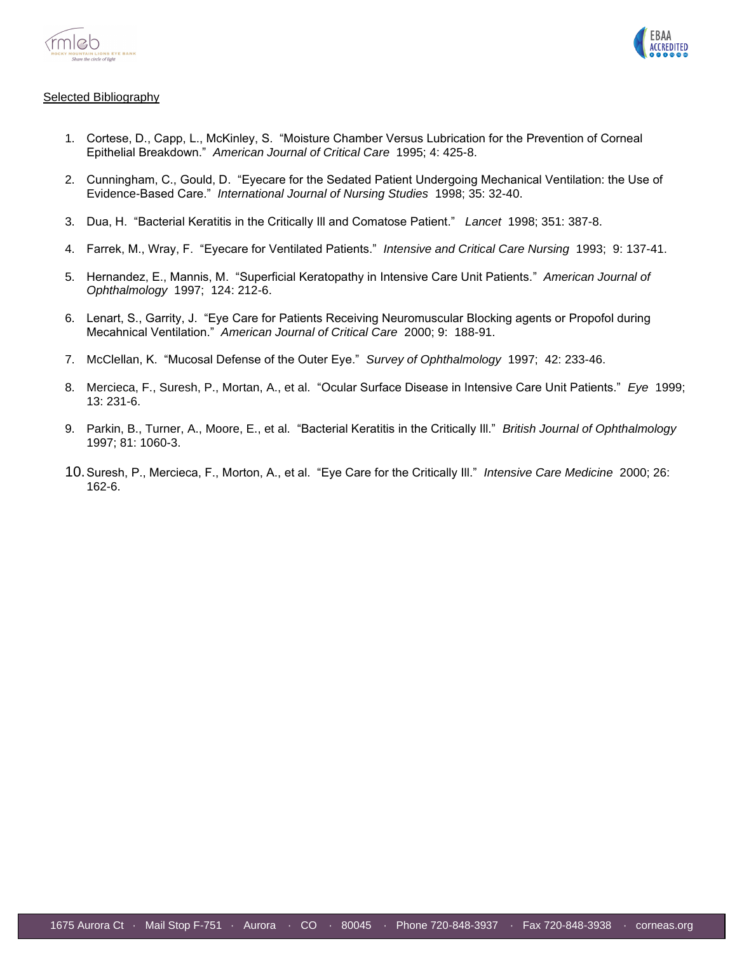



#### Selected Bibliography

- 1. Cortese, D., Capp, L., McKinley, S. "Moisture Chamber Versus Lubrication for the Prevention of Corneal Epithelial Breakdown." *American Journal of Critical Care* 1995; 4: 425-8.
- 2. Cunningham, C., Gould, D. "Eyecare for the Sedated Patient Undergoing Mechanical Ventilation: the Use of Evidence-Based Care." *International Journal of Nursing Studies* 1998; 35: 32-40.
- 3. Dua, H. "Bacterial Keratitis in the Critically Ill and Comatose Patient." *Lancet* 1998; 351: 387-8.
- 4. Farrek, M., Wray, F. "Eyecare for Ventilated Patients." *Intensive and Critical Care Nursing* 1993; 9: 137-41.
- 5. Hernandez, E., Mannis, M. "Superficial Keratopathy in Intensive Care Unit Patients." *American Journal of Ophthalmology* 1997; 124: 212-6.
- 6. Lenart, S., Garrity, J. "Eye Care for Patients Receiving Neuromuscular Blocking agents or Propofol during Mecahnical Ventilation." *American Journal of Critical Care* 2000; 9: 188-91.
- 7. McClellan, K. "Mucosal Defense of the Outer Eye." *Survey of Ophthalmology* 1997; 42: 233-46.
- 8. Mercieca, F., Suresh, P., Mortan, A., et al. "Ocular Surface Disease in Intensive Care Unit Patients." *Eye* 1999; 13: 231-6.
- 9. Parkin, B., Turner, A., Moore, E., et al. "Bacterial Keratitis in the Critically Ill." *British Journal of Ophthalmology* 1997; 81: 1060-3.
- 10.Suresh, P., Mercieca, F., Morton, A., et al. "Eye Care for the Critically Ill." *Intensive Care Medicine* 2000; 26: 162-6.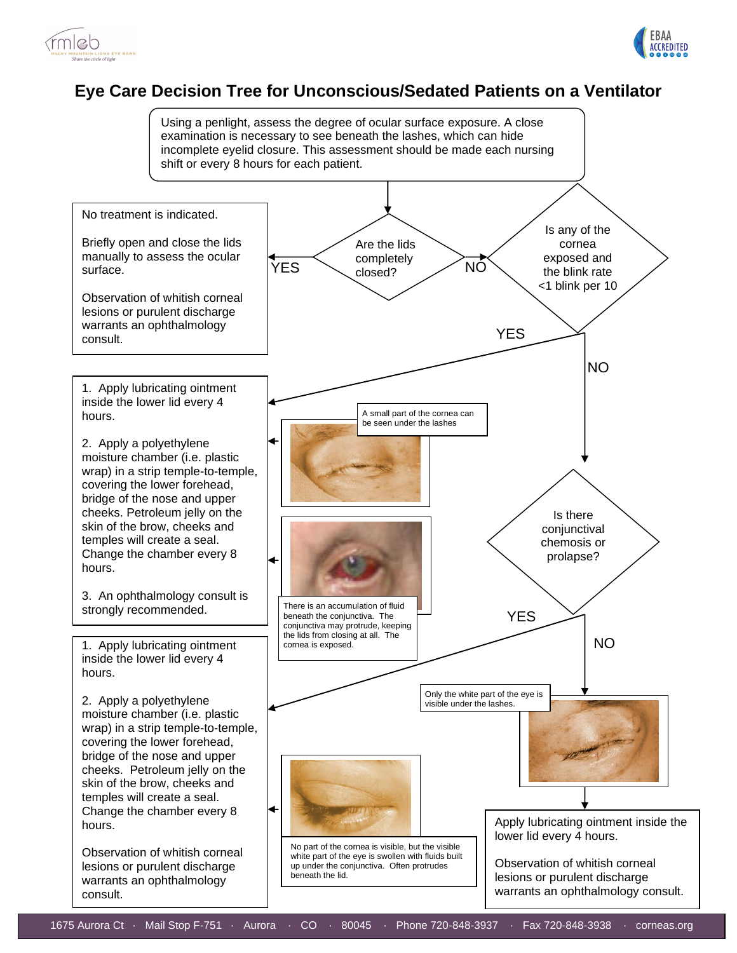



### **Eye Care Decision Tree for Unconscious/Sedated Patients on a Ventilator**

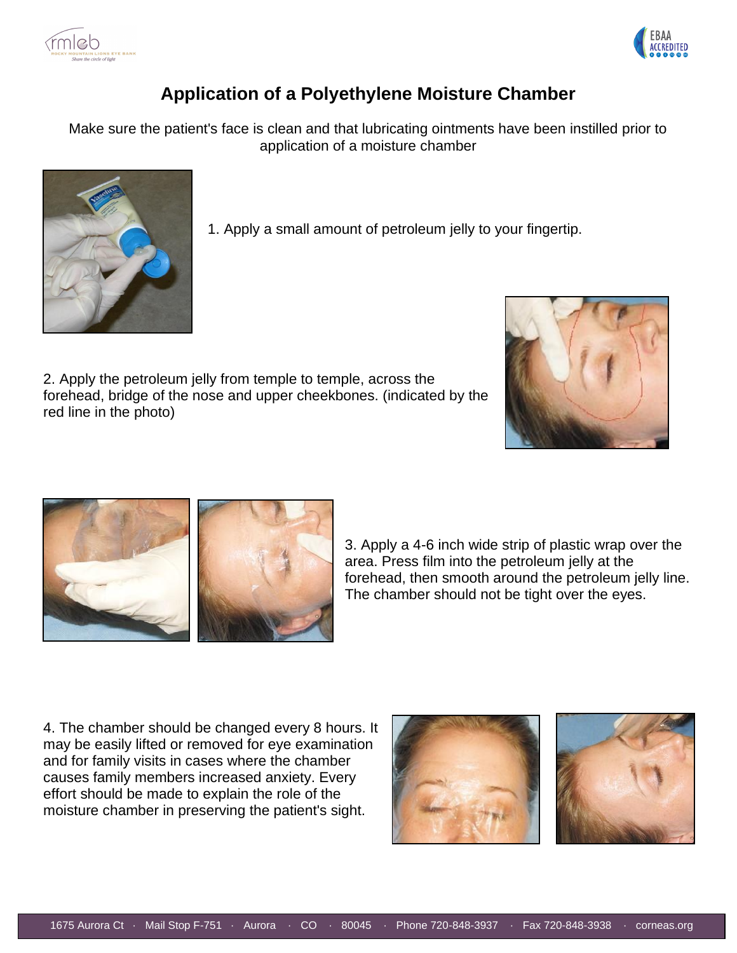



## **Application of a Polyethylene Moisture Chamber**

Make sure the patient's face is clean and that lubricating ointments have been instilled prior to application of a moisture chamber



1. Apply a small amount of petroleum jelly to your fingertip.

2. Apply the petroleum jelly from temple to temple, across the forehead, bridge of the nose and upper cheekbones. (indicated by the red line in the photo)





3. Apply a 4-6 inch wide strip of plastic wrap over the area. Press film into the petroleum jelly at the forehead, then smooth around the petroleum jelly line. The chamber should not be tight over the eyes.

4. The chamber should be changed every 8 hours. It may be easily lifted or removed for eye examination and for family visits in cases where the chamber causes family members increased anxiety. Every effort should be made to explain the role of the moisture chamber in preserving the patient's sight.